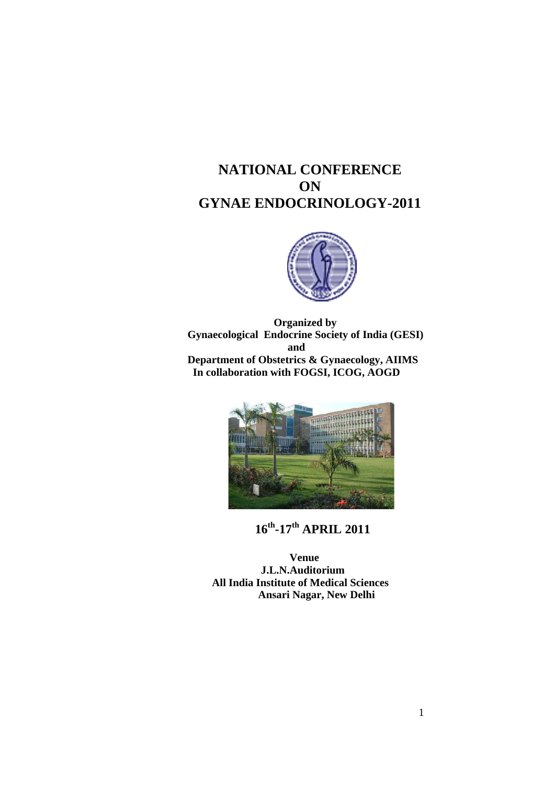# **NATIONAL CONFERENCE ON GYNAE ENDOCRINOLOGY-2011**



 **Organized by Gynaecological Endocrine Society of India (GESI) and Department of Obstetrics & Gynaecology, AIIMS In collaboration with FOGSI, ICOG, AOGD** 



**16th-17th APRIL 2011** 

 **Venue J.L.N.Auditorium All India Institute of Medical Sciences Ansari Nagar, New Delhi**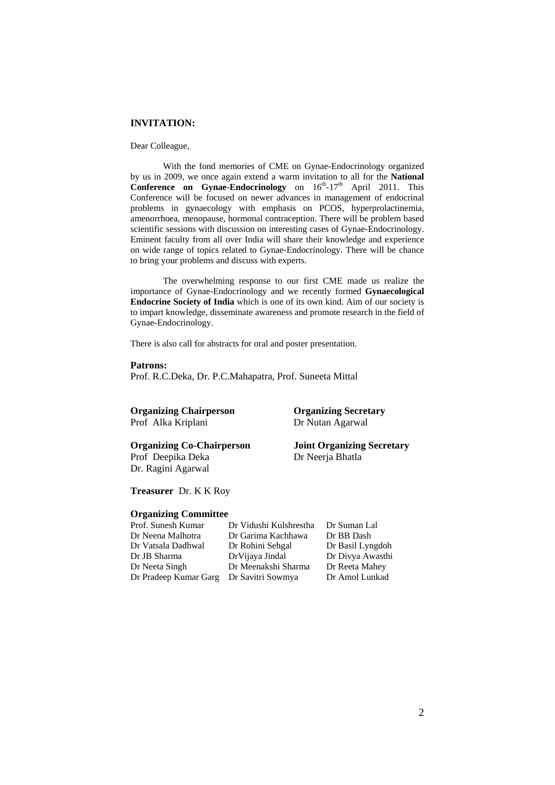## **INVITATION:**

#### Dear Colleague,

With the fond memories of CME on Gynae-Endocrinology organized by us in 2009, we once again extend a warm invitation to all for the **National Conference on Gynae-Endocrinology** on  $16^{th}$ -17<sup>th</sup> April 2011. This Conference will be focused on newer advances in management of endocrinal problems in gynaecology with emphasis on PCOS, hyperprolactinemia, amenorrhoea, menopause, hormonal contraception. There will be problem based scientific sessions with discussion on interesting cases of Gynae-Endocrinology. Eminent faculty from all over India will share their knowledge and experience on wide range of topics related to Gynae-Endocrinology. There will be chance to bring your problems and discuss with experts.

The overwhelming response to our first CME made us realize the importance of Gynae-Endocrinology and we recently formed **Gynaecological Endocrine Society of India** which is one of its own kind. Aim of our society is to impart knowledge, disseminate awareness and promote research in the field of Gynae-Endocrinology.

There is also call for abstracts for oral and poster presentation.

**Patrons:** 

Prof. R.C.Deka, Dr. P.C.Mahapatra, Prof. Suneeta Mittal

# **Organizing Chairperson Organizing Secretary**

Prof Alka Kriplani Dr Nutan Agarwal

Dr. Ragini Agarwal

**Organizing Co-Chairperson Joint Organizing Secretary**  Prof Deepika Deka Dr Neerja Bhatla

**Treasurer** Dr. K K Roy

# **Organizing Committee**

Prof. Sunesh Kumar Dr Vidushi Kulshrestha Dr Suman Lal Dr Vatsala Dadhwal Dr Rohini Sehgal Dr Basil Lyngdoh Dr JB Sharma DrVijaya Jindal Dr Divya Awasthi Dr Neeta Singh Dr Meenakshi Sharma Dr Pradeep Kumar Garg Dr Savitri Sowmya Dr Amol Lunkad

Dr Garima Kachhawa<br>Dr Rohini Sehgal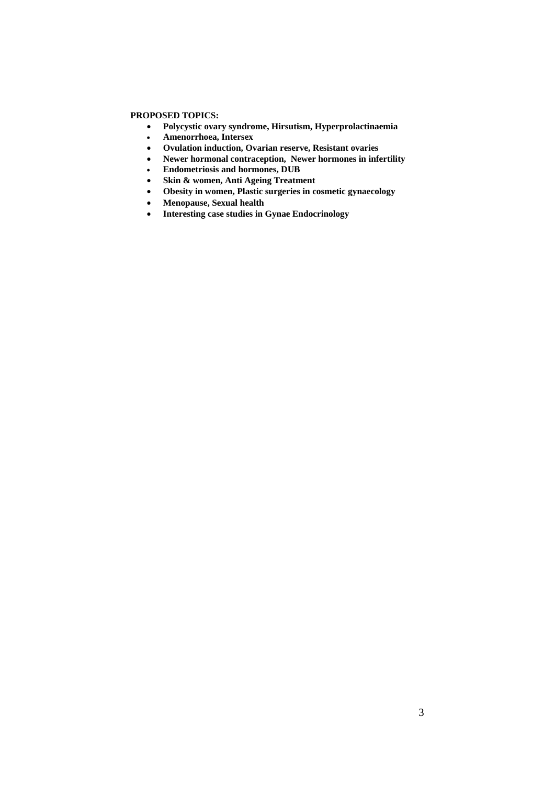# **PROPOSED TOPICS:**

- **Polycystic ovary syndrome, Hirsutism, Hyperprolactinaemia**
- **Amenorrhoea, Intersex**
- **Ovulation induction, Ovarian reserve, Resistant ovaries**
- **Newer hormonal contraception, Newer hormones in infertility**
- **Endometriosis and hormones, DUB**
- **Skin & women, Anti Ageing Treatment**
- **Obesity in women, Plastic surgeries in cosmetic gynaecology**
- **Menopause, Sexual health**
- **Interesting case studies in Gynae Endocrinology**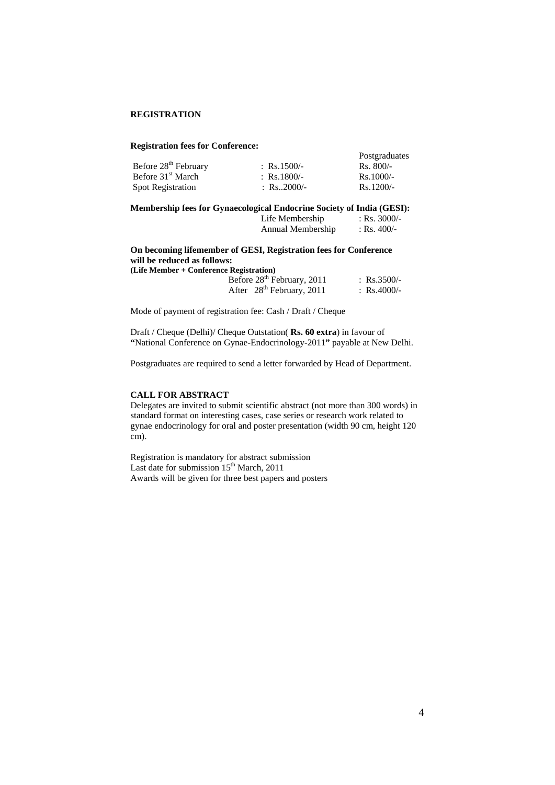### **REGISTRATION**

#### **Registration fees for Conference:**

| Before 28 <sup>th</sup> February | : Rs.1500/-  | Rs. 800/-   |
|----------------------------------|--------------|-------------|
| Before 31 <sup>st</sup> March    | : Rs.1800/-  | $Rs.1000/-$ |
| <b>Spot Registration</b>         | : Rs. 2000/- | $Rs.1200/-$ |

## **Membership fees for Gynaecological Endocrine Society of India (GESI):**

|  | Life Membership   | : Rs. $3000/-$ |
|--|-------------------|----------------|
|  | Annual Membership | : Rs. 400/-    |

Postgraduates

# **On becoming lifemember of GESI, Registration fees for Conference will be reduced as follows: (Life Member + Conference Registration)**

| Before 28 <sup>th</sup> February, 2011 | : $\text{Rs.3500/-}$ |
|----------------------------------------|----------------------|
| After $28th$ February, 2011            | : Rs.4000/-          |

Mode of payment of registration fee: Cash / Draft / Cheque

Draft / Cheque (Delhi)/ Cheque Outstation( **Rs. 60 extra**) in favour of **"**National Conference on Gynae-Endocrinology-2011**"** payable at New Delhi.

Postgraduates are required to send a letter forwarded by Head of Department.

### **CALL FOR ABSTRACT**

Delegates are invited to submit scientific abstract (not more than 300 words) in standard format on interesting cases, case series or research work related to gynae endocrinology for oral and poster presentation (width 90 cm, height 120 cm).

Registration is mandatory for abstract submission Last date for submission  $15<sup>th</sup>$  March, 2011 Awards will be given for three best papers and posters